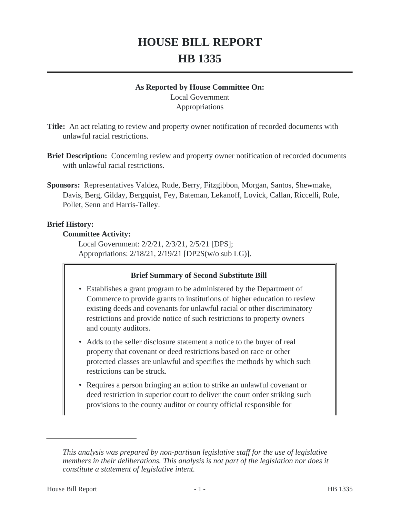# **HOUSE BILL REPORT HB 1335**

#### **As Reported by House Committee On:**

Local Government Appropriations

- **Title:** An act relating to review and property owner notification of recorded documents with unlawful racial restrictions.
- **Brief Description:** Concerning review and property owner notification of recorded documents with unlawful racial restrictions.
- **Sponsors:** Representatives Valdez, Rude, Berry, Fitzgibbon, Morgan, Santos, Shewmake, Davis, Berg, Gilday, Bergquist, Fey, Bateman, Lekanoff, Lovick, Callan, Riccelli, Rule, Pollet, Senn and Harris-Talley.

## **Brief History:**

#### **Committee Activity:**

Local Government: 2/2/21, 2/3/21, 2/5/21 [DPS]; Appropriations: 2/18/21, 2/19/21 [DP2S(w/o sub LG)].

## **Brief Summary of Second Substitute Bill**

- Establishes a grant program to be administered by the Department of Commerce to provide grants to institutions of higher education to review existing deeds and covenants for unlawful racial or other discriminatory restrictions and provide notice of such restrictions to property owners and county auditors.
- Adds to the seller disclosure statement a notice to the buyer of real property that covenant or deed restrictions based on race or other protected classes are unlawful and specifies the methods by which such restrictions can be struck.
- Requires a person bringing an action to strike an unlawful covenant or deed restriction in superior court to deliver the court order striking such provisions to the county auditor or county official responsible for

*This analysis was prepared by non-partisan legislative staff for the use of legislative members in their deliberations. This analysis is not part of the legislation nor does it constitute a statement of legislative intent.*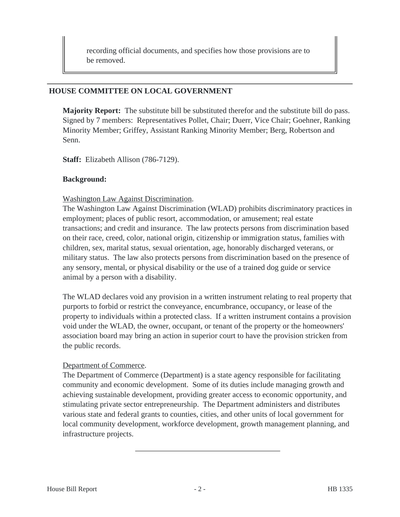recording official documents, and specifies how those provisions are to be removed.

#### **HOUSE COMMITTEE ON LOCAL GOVERNMENT**

**Majority Report:** The substitute bill be substituted therefor and the substitute bill do pass. Signed by 7 members: Representatives Pollet, Chair; Duerr, Vice Chair; Goehner, Ranking Minority Member; Griffey, Assistant Ranking Minority Member; Berg, Robertson and Senn.

**Staff:** Elizabeth Allison (786-7129).

#### **Background:**

#### Washington Law Against Discrimination.

The Washington Law Against Discrimination (WLAD) prohibits discriminatory practices in employment; places of public resort, accommodation, or amusement; real estate transactions; and credit and insurance. The law protects persons from discrimination based on their race, creed, color, national origin, citizenship or immigration status, families with children, sex, marital status, sexual orientation, age, honorably discharged veterans, or military status. The law also protects persons from discrimination based on the presence of any sensory, mental, or physical disability or the use of a trained dog guide or service animal by a person with a disability.

The WLAD declares void any provision in a written instrument relating to real property that purports to forbid or restrict the conveyance, encumbrance, occupancy, or lease of the property to individuals within a protected class. If a written instrument contains a provision void under the WLAD, the owner, occupant, or tenant of the property or the homeowners' association board may bring an action in superior court to have the provision stricken from the public records.

## Department of Commerce.

The Department of Commerce (Department) is a state agency responsible for facilitating community and economic development. Some of its duties include managing growth and achieving sustainable development, providing greater access to economic opportunity, and stimulating private sector entrepreneurship. The Department administers and distributes various state and federal grants to counties, cities, and other units of local government for local community development, workforce development, growth management planning, and infrastructure projects.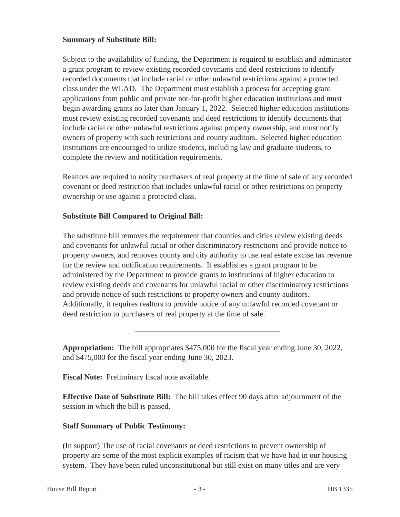## **Summary of Substitute Bill:**

Subject to the availability of funding, the Department is required to establish and administer a grant program to review existing recorded covenants and deed restrictions to identify recorded documents that include racial or other unlawful restrictions against a protected class under the WLAD. The Department must establish a process for accepting grant applications from public and private not-for-profit higher education institutions and must begin awarding grants no later than January 1, 2022. Selected higher education institutions must review existing recorded covenants and deed restrictions to identify documents that include racial or other unlawful restrictions against property ownership, and must notify owners of property with such restrictions and county auditors. Selected higher education institutions are encouraged to utilize students, including law and graduate students, to complete the review and notification requirements.

Realtors are required to notify purchasers of real property at the time of sale of any recorded covenant or deed restriction that includes unlawful racial or other restrictions on property ownership or use against a protected class.

## **Substitute Bill Compared to Original Bill:**

The substitute bill removes the requirement that counties and cities review existing deeds and covenants for unlawful racial or other discriminatory restrictions and provide notice to property owners, and removes county and city authority to use real estate excise tax revenue for the review and notification requirements. It establishes a grant program to be administered by the Department to provide grants to institutions of higher education to review existing deeds and covenants for unlawful racial or other discriminatory restrictions and provide notice of such restrictions to property owners and county auditors. Additionally, it requires realtors to provide notice of any unlawful recorded covenant or deed restriction to purchasers of real property at the time of sale.

**Appropriation:** The bill appropriates \$475,000 for the fiscal year ending June 30, 2022, and \$475,000 for the fiscal year ending June 30, 2023.

**Fiscal Note:** Preliminary fiscal note available.

**Effective Date of Substitute Bill:** The bill takes effect 90 days after adjournment of the session in which the bill is passed.

# **Staff Summary of Public Testimony:**

(In support) The use of racial covenants or deed restrictions to prevent ownership of property are some of the most explicit examples of racism that we have had in our housing system. They have been ruled unconstitutional but still exist on many titles and are very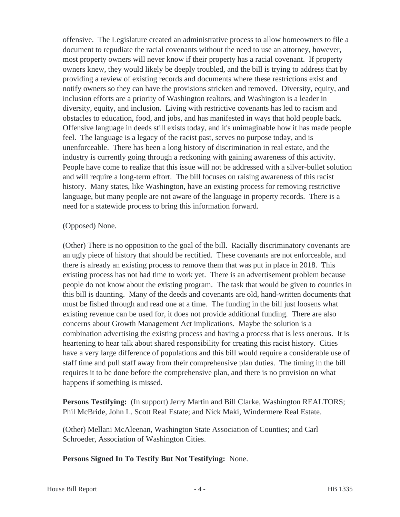offensive. The Legislature created an administrative process to allow homeowners to file a document to repudiate the racial covenants without the need to use an attorney, however, most property owners will never know if their property has a racial covenant. If property owners knew, they would likely be deeply troubled, and the bill is trying to address that by providing a review of existing records and documents where these restrictions exist and notify owners so they can have the provisions stricken and removed. Diversity, equity, and inclusion efforts are a priority of Washington realtors, and Washington is a leader in diversity, equity, and inclusion. Living with restrictive covenants has led to racism and obstacles to education, food, and jobs, and has manifested in ways that hold people back. Offensive language in deeds still exists today, and it's unimaginable how it has made people feel. The language is a legacy of the racist past, serves no purpose today, and is unenforceable. There has been a long history of discrimination in real estate, and the industry is currently going through a reckoning with gaining awareness of this activity. People have come to realize that this issue will not be addressed with a silver-bullet solution and will require a long-term effort. The bill focuses on raising awareness of this racist history. Many states, like Washington, have an existing process for removing restrictive language, but many people are not aware of the language in property records. There is a need for a statewide process to bring this information forward.

#### (Opposed) None.

(Other) There is no opposition to the goal of the bill. Racially discriminatory covenants are an ugly piece of history that should be rectified. These covenants are not enforceable, and there is already an existing process to remove them that was put in place in 2018. This existing process has not had time to work yet. There is an advertisement problem because people do not know about the existing program. The task that would be given to counties in this bill is daunting. Many of the deeds and covenants are old, hand-written documents that must be fished through and read one at a time. The funding in the bill just loosens what existing revenue can be used for, it does not provide additional funding. There are also concerns about Growth Management Act implications. Maybe the solution is a combination advertising the existing process and having a process that is less onerous. It is heartening to hear talk about shared responsibility for creating this racist history. Cities have a very large difference of populations and this bill would require a considerable use of staff time and pull staff away from their comprehensive plan duties. The timing in the bill requires it to be done before the comprehensive plan, and there is no provision on what happens if something is missed.

**Persons Testifying:** (In support) Jerry Martin and Bill Clarke, Washington REALTORS; Phil McBride, John L. Scott Real Estate; and Nick Maki, Windermere Real Estate.

(Other) Mellani McAleenan, Washington State Association of Counties; and Carl Schroeder, Association of Washington Cities.

**Persons Signed In To Testify But Not Testifying:** None.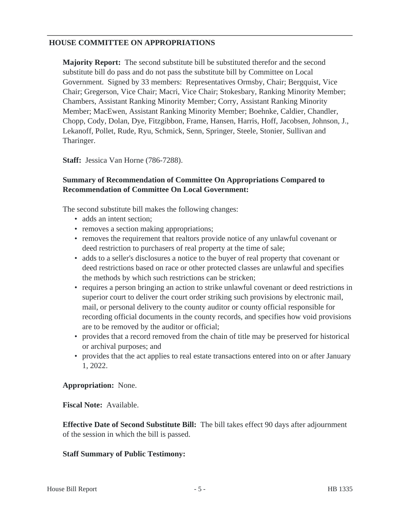## **HOUSE COMMITTEE ON APPROPRIATIONS**

**Majority Report:** The second substitute bill be substituted therefor and the second substitute bill do pass and do not pass the substitute bill by Committee on Local Government. Signed by 33 members: Representatives Ormsby, Chair; Bergquist, Vice Chair; Gregerson, Vice Chair; Macri, Vice Chair; Stokesbary, Ranking Minority Member; Chambers, Assistant Ranking Minority Member; Corry, Assistant Ranking Minority Member; MacEwen, Assistant Ranking Minority Member; Boehnke, Caldier, Chandler, Chopp, Cody, Dolan, Dye, Fitzgibbon, Frame, Hansen, Harris, Hoff, Jacobsen, Johnson, J., Lekanoff, Pollet, Rude, Ryu, Schmick, Senn, Springer, Steele, Stonier, Sullivan and Tharinger.

**Staff:** Jessica Van Horne (786-7288).

## **Summary of Recommendation of Committee On Appropriations Compared to Recommendation of Committee On Local Government:**

The second substitute bill makes the following changes:

- adds an intent section:
- removes a section making appropriations;
- removes the requirement that realtors provide notice of any unlawful covenant or deed restriction to purchasers of real property at the time of sale;
- adds to a seller's disclosures a notice to the buyer of real property that covenant or deed restrictions based on race or other protected classes are unlawful and specifies the methods by which such restrictions can be stricken;
- requires a person bringing an action to strike unlawful covenant or deed restrictions in superior court to deliver the court order striking such provisions by electronic mail, mail, or personal delivery to the county auditor or county official responsible for recording official documents in the county records, and specifies how void provisions are to be removed by the auditor or official;
- provides that a record removed from the chain of title may be preserved for historical or archival purposes; and
- provides that the act applies to real estate transactions entered into on or after January 1, 2022.

## **Appropriation:** None.

**Fiscal Note:** Available.

**Effective Date of Second Substitute Bill:** The bill takes effect 90 days after adjournment of the session in which the bill is passed.

#### **Staff Summary of Public Testimony:**